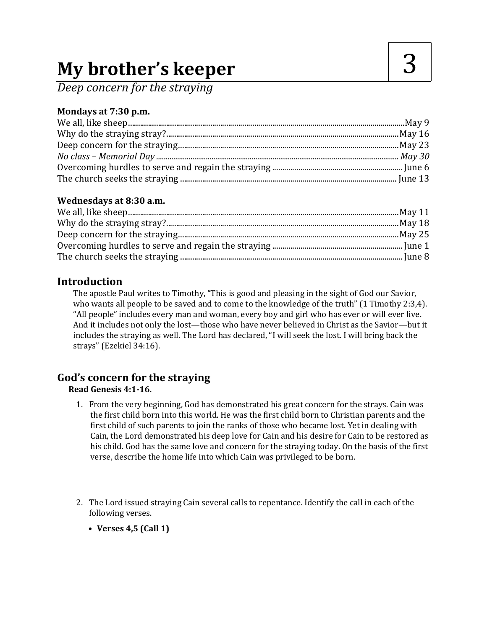# **My brother's keeper**

*Deep concern for the straying*

# **Mondays at 7:30 p.m.**

## **Wednesdays at 8:30 a.m.**

# **Introduction**

The apostle Paul writes to Timothy, "This is good and pleasing in the sight of God our Savior, who wants all people to be saved and to come to the knowledge of the truth" (1 Timothy 2:3,4). "All people" includes every man and woman, every boy and girl who has ever or will ever live. And it includes not only the lost—those who have never believed in Christ as the Savior—but it includes the straying as well. The Lord has declared, "I will seek the lost. I will bring back the strays" (Ezekiel 34:16).

# **God's concern for the straying**

## **Read Genesis 4:1-16.**

- 1. From the very beginning, God has demonstrated his great concern for the strays. Cain was the first child born into this world. He was the first child born to Christian parents and the first child of such parents to join the ranks of those who became lost. Yet in dealing with Cain, the Lord demonstrated his deep love for Cain and his desire for Cain to be restored as his child. God has the same love and concern for the straying today. On the basis of the first verse, describe the home life into which Cain was privileged to be born.
- 2. The Lord issued straying Cain several calls to repentance. Identify the call in each of the following verses.
	- **• Verses 4,5 (Call 1)**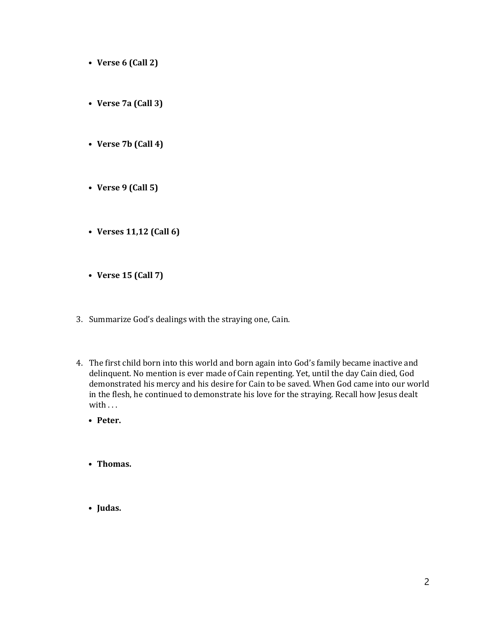- **• Verse 6 (Call 2)**
- **• Verse 7a (Call 3)**
- **• Verse 7b (Call 4)**
- **• Verse 9 (Call 5)**
- **• Verses 11,12 (Call 6)**
- **• Verse 15 (Call 7)**
- 3. Summarize God's dealings with the straying one, Cain.
- 4. The first child born into this world and born again into God's family became inactive and delinquent. No mention is ever made of Cain repenting. Yet, until the day Cain died, God demonstrated his mercy and his desire for Cain to be saved. When God came into our world in the flesh, he continued to demonstrate his love for the straying. Recall how Jesus dealt with . . .
	- **• Peter.**
	- **• Thomas.**
	- **• Judas.**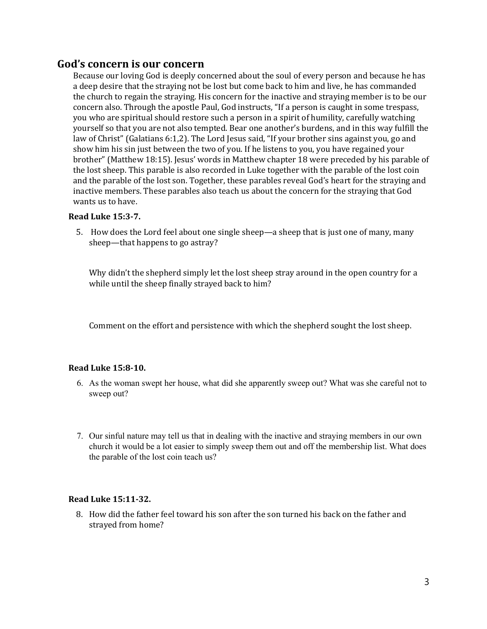### **God's concern is our concern**

Because our loving God is deeply concerned about the soul of every person and because he has a deep desire that the straying not be lost but come back to him and live, he has commanded the church to regain the straying. His concern for the inactive and straying member is to be our concern also. Through the apostle Paul, God instructs, "If a person is caught in some trespass, you who are spiritual should restore such a person in a spirit of humility, carefully watching yourself so that you are not also tempted. Bear one another's burdens, and in this way fulfill the law of Christ" (Galatians 6:1,2). The Lord Jesus said, "If your brother sins against you, go and show him his sin just between the two of you. If he listens to you, you have regained your brother" (Matthew 18:15). Jesus' words in Matthew chapter 18 were preceded by his parable of the lost sheep. This parable is also recorded in Luke together with the parable of the lost coin and the parable of the lost son. Together, these parables reveal God's heart for the straying and inactive members. These parables also teach us about the concern for the straying that God wants us to have.

#### **Read Luke 15:3-7.**

5. How does the Lord feel about one single sheep—a sheep that is just one of many, many sheep—that happens to go astray?

Why didn't the shepherd simply let the lost sheep stray around in the open country for a while until the sheep finally strayed back to him?

Comment on the effort and persistence with which the shepherd sought the lost sheep.

#### **Read Luke 15:8-10.**

- 6. As the woman swept her house, what did she apparently sweep out? What was she careful not to sweep out?
- 7. Our sinful nature may tell us that in dealing with the inactive and straying members in our own church it would be a lot easier to simply sweep them out and off the membership list. What does the parable of the lost coin teach us?

#### **Read Luke 15:11-32.**

8. How did the father feel toward his son after the son turned his back on the father and strayed from home?